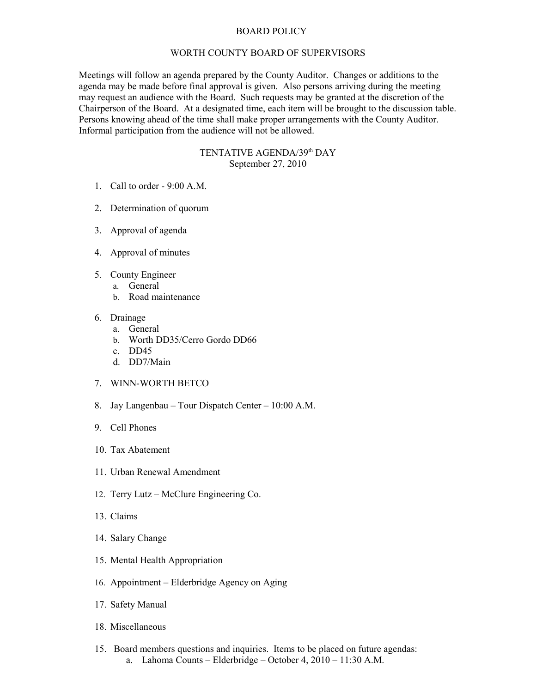## BOARD POLICY

## WORTH COUNTY BOARD OF SUPERVISORS

Meetings will follow an agenda prepared by the County Auditor. Changes or additions to the agenda may be made before final approval is given. Also persons arriving during the meeting may request an audience with the Board. Such requests may be granted at the discretion of the Chairperson of the Board. At a designated time, each item will be brought to the discussion table. Persons knowing ahead of the time shall make proper arrangements with the County Auditor. Informal participation from the audience will not be allowed.

## TENTATIVE AGENDA/39<sup>th</sup> DAY September 27, 2010

- 1. Call to order 9:00 A.M.
- 2. Determination of quorum
- 3. Approval of agenda
- 4. Approval of minutes
- 5. County Engineer
	- a. General
		- b. Road maintenance
- 6. Drainage
	- a. General
	- b. Worth DD35/Cerro Gordo DD66
	- c. DD45
	- d. DD7/Main
- 7. WINN-WORTH BETCO
- 8. Jay Langenbau Tour Dispatch Center 10:00 A.M.
- 9. Cell Phones
- 10. Tax Abatement
- 11. Urban Renewal Amendment
- 12. Terry Lutz McClure Engineering Co.
- 13. Claims
- 14. Salary Change
- 15. Mental Health Appropriation
- 16. Appointment Elderbridge Agency on Aging
- 17. Safety Manual
- 18. Miscellaneous
- 15. Board members questions and inquiries. Items to be placed on future agendas: a. Lahoma Counts – Elderbridge – October 4, 2010 – 11:30 A.M.